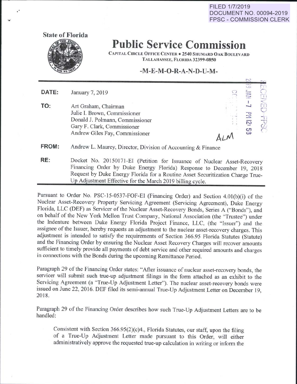**FILED 1/7/2019 DOCUMENT NO. 00094-2019 FPSC- COMMISSION CLERK** 

**State of Florida** 

**Public Service Commission** 

CAPITAL CIRCLE OFFICE CENTER . 2540 SHUMARD OAK BOULEVARD TALLAHASSEE, FLORIDA 32399-0850

## **-M-E-M-0-R-A-N-D-U-M-**

|              |                                                                                                                                                                 | <b>Prop</b>                                               |                                            |
|--------------|-----------------------------------------------------------------------------------------------------------------------------------------------------------------|-----------------------------------------------------------|--------------------------------------------|
| DATE:        | January 7, 2019                                                                                                                                                 | <b>IndiaNews</b><br><b>COLP</b><br>مسسرة<br>2.70<br>PHONE |                                            |
| TO:          | Art Graham, Chairman<br>Julie I. Brown, Commissioner<br>Donald J. Polmann, Commissioner<br>Gary F. Clark, Commissioner<br>Andrew Giles Fay, Commissioner<br>ALM | 로<br>ឆ្ន<br>ပ္ပ                                           | ΓП<br><b>AMILY</b><br>$\frac{1}{\sqrt{2}}$ |
| <b>FROM:</b> | Andrew L. Maurey, Director, Division of Accounting & Finance                                                                                                    |                                                           |                                            |
| RE:          | Docket No. 20150171-EI (Petition for Issuance of Nuclear Asset-Recovery                                                                                         |                                                           |                                            |

Financing Order by Duke Energy Florida) Response to December 19, <sup>2018</sup> Request by Duke Energy Florida for a Routine Asset Securitization Charge True-Up Adjustment Effective for the March 2019 billing cycle.

Pursuant to Order No. PSC-15-0537-FOF-EI (Financing Order) and Section 4.0l(b)(i) of the Nuclear Asset-Recovery Property Servicing Agreement (Servicing Agreement), Duke Energy Florida, LLC (DEF) as Servicer of the Nuclear Asset-Recovery Bonds, Series A ("Bonds"), and on behalf of the New York Mellon Trust Company, National Association (the "Trustee") under the Indenture between Duke Energy Florida Project Finance, LLC, (the "Issuer") and the assignee of the Issuer, hereby requests an adjustment to the nuclear asset-recovery charges. This adjustment is intended to satisfy the requirements of Section 366.95 Florida Statutes (Statute) and the Financing Order by ensuring the Nuclear Asset Recovery Charges will recover amounts sufficient to timely provide all payments of debt service and other required amounts and charges in connections with the Bonds during the upcoming Remittance Period.

Paragraph 29 of the Financing Order states: "After issuance of nuclear asset-recovery bonds, the servicer will submit such true-up adjustment filings in the form attached as an exhibit to the Servicing Agreement (a "True-Up Adjustment Letter"). The nuclear asset-recovery bonds were issued on June 22, 2016. DEF filed its semi-annual True-Up Adjustment Letter on December 19, 2018.

Paragraph 29 of the Financing Order describes how such True-Up Adjustment Letters are to be handled:

Consistent with Section 366.95(2)(c)4., Florida Statutes, our staff, upon the filing of a True-Up Adjustment Letter made pursuant to this Order, will either administratively approve the requested true-up calculation in writing or inform the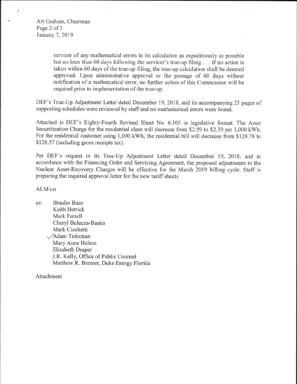Art Graham, Chairman Page 2 of 3 January 7, 2019

> servicer of any mathematical errors in its calculation as expeditiously as possible but no later than 60 days following the servicer's true-up filing . . . If no action is taken within 60 days of the true-up filing, the true-up calculation shall be deemed approved. Upon administrative approval or the passage of 60 days without notification of a mathematical error, no further action of this Commission will be required prior to implementation of the true-up.

DEF's True-Up Adjustment Letter dated December 19, 2018, and its accompanying 23 pages of supporting schedules were reviewed by staff and no mathematical errors were found.

Attached is DEF's Eighty-Fourth Revised Sheet No. 6.105 in legislative fonnat. The Asset Securitization Charge for the residential class will decrease from \$2.59 to \$2.39 per 1,000 kWh. For the residential customer using 1,000 kWh, the residential bill will decrease from \$128.78 to \$128.57 (including gross receipts tax).

Per DEF's request in its True-Up Adjustment Letter dated December 19, 2018, and in accordance with the Financing Order and Servicing Agreement, the proposed adjustments to the Nuclear Asset-Recovery Charges will be effective for the March 2019 billing cycle. Staff is preparing the required approval letter for the new tariff sheets.

## ALM/crr

cc: Braulio Baez Keith Hetrick Mark Futrell Cheryl Bulecza-Banks Mark Cicchetti v/Adam Teitzman Mary Anne Helton Elisabeth Draper J.R. Kelly, Office of Public Counsel Matthew R. Bernier, Duke Energy Florida

### Attachment